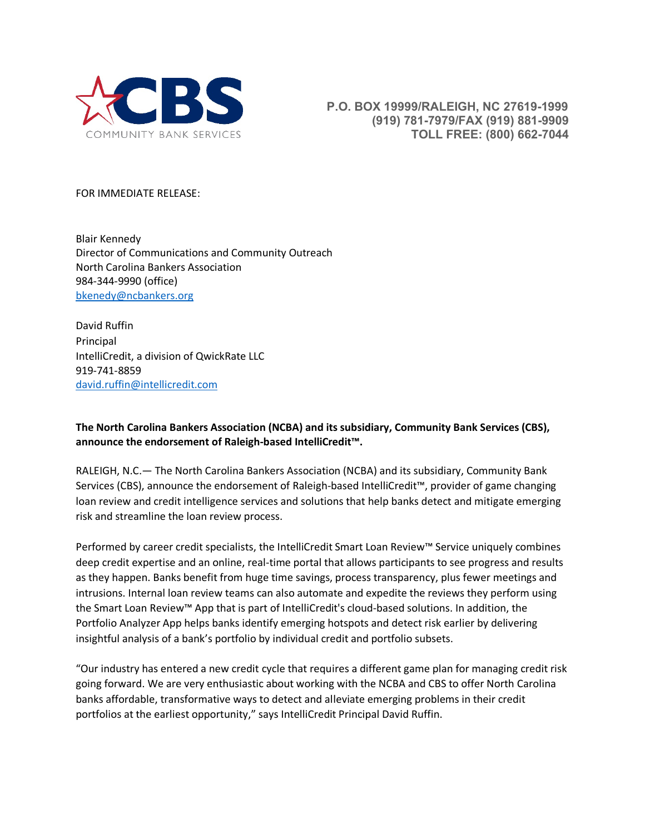

 **P.O. BOX 19999/RALEIGH, NC 27619-1999 (919) 781-7979/FAX (919) 881-9909 TOLL FREE: (800) 662-7044**

FOR IMMEDIATE RELEASE:

Blair Kennedy Director of Communications and Community Outreach North Carolina Bankers Association 984-344-9990 (office) [bkenedy@ncbankers.org](mailto:bkenedy@ncbankers.org)

David Ruffin Principal IntelliCredit, a division of QwickRate LLC 919-741-8859 [david.ruffin@intellicredit.com](mailto:david.ruffin@intellicredit.com)

**The North Carolina Bankers Association (NCBA) and its subsidiary, Community Bank Services (CBS), announce the endorsement of Raleigh-based IntelliCredit™.** 

RALEIGH, N.C.— The North Carolina Bankers Association (NCBA) and its subsidiary, Community Bank Services (CBS), announce the endorsement of Raleigh-based IntelliCredit™, provider of game changing loan review and credit intelligence services and solutions that help banks detect and mitigate emerging risk and streamline the loan review process.

Performed by career credit specialists, the IntelliCredit Smart Loan Review™ Service uniquely combines deep credit expertise and an online, real-time portal that allows participants to see progress and results as they happen. Banks benefit from huge time savings, process transparency, plus fewer meetings and intrusions. Internal loan review teams can also automate and expedite the reviews they perform using the Smart Loan Review™ App that is part of IntelliCredit's cloud-based solutions. In addition, the Portfolio Analyzer App helps banks identify emerging hotspots and detect risk earlier by delivering insightful analysis of a bank's portfolio by individual credit and portfolio subsets.

"Our industry has entered a new credit cycle that requires a different game plan for managing credit risk going forward. We are very enthusiastic about working with the NCBA and CBS to offer North Carolina banks affordable, transformative ways to detect and alleviate emerging problems in their credit portfolios at the earliest opportunity," says IntelliCredit Principal David Ruffin.